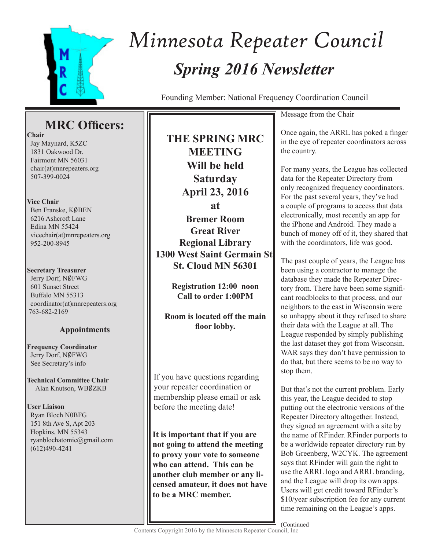

# *Spring 2016 Newsletter Minnesota Repeater Council*

Founding Member: National Frequency Coordination Council

# **MRC Officers:**

**Chair**

 Jay Maynard, K5ZC 1831 Oakwood Dr. Fairmont MN 56031 chair(at)mnrepeaters.org 507-399-0024

#### **Vice Chair**

Ben Franske, KØBEN 6216 Ashcroft Lane Edina MN 55424 vicechair(at)mnrepeaters.org 952-200-8945

#### **Secretary Treasurer**

Jerry Dorf, NØFWG 601 Sunset Street Buffalo MN 55313 coordinator(at)mnrepeaters.org 763-682-2169

#### **Appointments**

**Frequency Coordinator** Jerry Dorf, NØFWG See Secretary's info

**Technical Committee Chair** Alan Knutson, WB0ZKB

**User Liaison** Ryan Bloch N0BFG 151 8th Ave S, Apt 203 Hopkins, MN 55343 ryanblochatomic@gmail.com (612)490-4241

**THE SPRING MRC MEETING Will be held Saturday April 23, 2016 at Bremer Room Great River Regional Library 1300 West Saint Germain St. St. Cloud MN 56301**

> **Registration 12:00 noon Call to order 1:00PM**

**Room is located off the main floor lobby.** 

If you have questions regarding your repeater coordination or membership please email or ask before the meeting date!

**It is important that if you are not going to attend the meeting to proxy your vote to someone who can attend. This can be another club member or any licensed amateur, it does not have to be a MRC member.**

#### Message from the Chair

Once again, the ARRL has poked a finger in the eye of repeater coordinators across the country.

For many years, the League has collected data for the Repeater Directory from only recognized frequency coordinators. For the past several years, they've had a couple of programs to access that data electronically, most recently an app for the iPhone and Android. They made a bunch of money off of it, they shared that with the coordinators, life was good.

The past couple of years, the League has been using a contractor to manage the database they made the Repeater Directory from. There have been some significant roadblocks to that process, and our neighbors to the east in Wisconsin were so unhappy about it they refused to share their data with the League at all. The League responded by simply publishing the last dataset they got from Wisconsin. WAR says they don't have permission to do that, but there seems to be no way to stop them.

But that's not the current problem. Early this year, the League decided to stop putting out the electronic versions of the Repeater Directory altogether. Instead, they signed an agreement with a site by the name of RFinder. RFinder purports to be a worldwide repeater directory run by Bob Greenberg, W2CYK. The agreement says that RFinder will gain the right to use the ARRL logo and ARRL branding, and the League will drop its own apps. Users will get credit toward RFinder's \$10/year subscription fee for any current time remaining on the League's apps.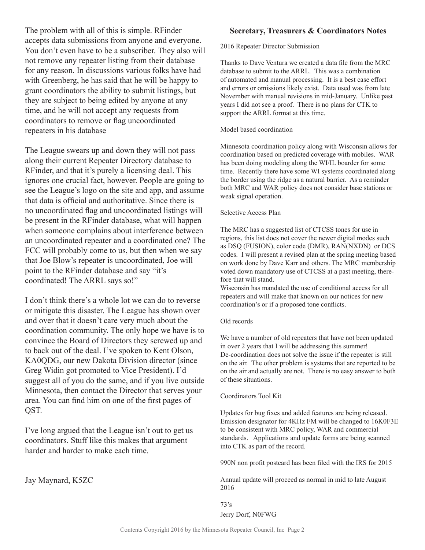Contents Copyright 2016 by the Minnesota Repeater Council, Inc Page 2

The problem with all of this is simple. RFinder accepts data submissions from anyone and everyone. You don't even have to be a subscriber. They also will not remove any repeater listing from their database for any reason. In discussions various folks have had with Greenberg, he has said that he will be happy to grant coordinators the ability to submit listings, but they are subject to being edited by anyone at any time, and he will not accept any requests from coordinators to remove or flag uncoordinated repeaters in his database

The League swears up and down they will not pass along their current Repeater Directory database to RFinder, and that it's purely a licensing deal. This ignores one crucial fact, however. People are going to see the League's logo on the site and app, and assume that data is official and authoritative. Since there is no uncoordinated flag and uncoordinated listings will be present in the RFinder database, what will happen when someone complains about interference between an uncoordinated repeater and a coordinated one? The FCC will probably come to us, but then when we say that Joe Blow's repeater is uncoordinated, Joe will point to the RFinder database and say "it's coordinated! The ARRL says so!"

I don't think there's a whole lot we can do to reverse or mitigate this disaster. The League has shown over and over that it doesn't care very much about the coordination community. The only hope we have is to convince the Board of Directors they screwed up and to back out of the deal. I've spoken to Kent Olson, KA0QDG, our new Dakota Division director (since Greg Widin got promoted to Vice President). I'd suggest all of you do the same, and if you live outside Minnesota, then contact the Director that serves your area. You can find him on one of the first pages of QST.

I've long argued that the League isn't out to get us coordinators. Stuff like this makes that argument harder and harder to make each time.

Jay Maynard, K5ZC

#### **Secretary, Treasurers & Coordinators Notes**

#### 2016 Repeater Director Submission

Thanks to Dave Ventura we created a data file from the MRC database to submit to the ARRL. This was a combination of automated and manual processing. It is a best case effort and errors or omissions likely exist. Data used was from late November with manual revisions in mid-January. Unlike past years I did not see a proof. There is no plans for CTK to support the ARRL format at this time.

#### Model based coordination

Minnesota coordination policy along with Wisconsin allows for coordination based on predicted coverage with mobiles. WAR has been doing modeling along the WI/IL boarder for some time. Recently there have some WI systems coordinated along the border using the ridge as a natural barrier. As a reminder both MRC and WAR policy does not consider base stations or weak signal operation.

#### Selective Access Plan

The MRC has a suggested list of CTCSS tones for use in regions, this list does not cover the newer digital modes such as DSQ (FUSION), color code (DMR), RAN(NXDN) or DCS codes. I will present a revised plan at the spring meeting based on work done by Dave Karr and others. The MRC membership voted down mandatory use of CTCSS at a past meeting, therefore that will stand.

Wisconsin has mandated the use of conditional access for all repeaters and will make that known on our notices for new coordination's or if a proposed tone conflicts.

#### Old records

We have a number of old repeaters that have not been updated in over 2 years that I will be addressing this summer! De-coordination does not solve the issue if the repeater is still on the air. The other problem is systems that are reported to be on the air and actually are not. There is no easy answer to both of these situations.

#### Coordinators Tool Kit

Updates for bug fixes and added features are being released. Emission designator for 4KHz FM will be changed to 16K0F3E to be consistent with MRC policy, WAR and commercial standards. Applications and update forms are being scanned into CTK as part of the record.

990N non profit postcard has been filed with the IRS for 2015

Annual update will proceed as normal in mid to late August 2016

### 73's Jerry Dorf, N0FWG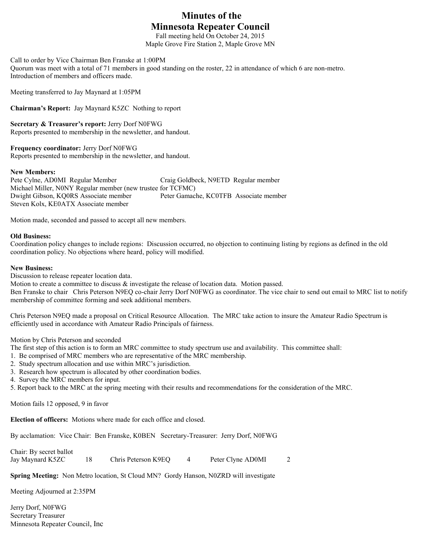## **Minutes of the Minnesota Repeater Council**

Fall meeting held On October 24, 2015 Maple Grove Fire Station 2, Maple Grove MN

Call to order by Vice Chairman Ben Franske at 1:00PM

Quorum was meet with a total of 71 members in good standing on the roster, 22 in attendance of which 6 are non-metro. Introduction of members and officers made.

Meeting transferred to Jay Maynard at 1:05PM

**Chairman's Report:** Jay Maynard K5ZC Nothing to report

**Secretary & Treasurer's report:** Jerry Dorf N0FWG Reports presented to membership in the newsletter, and handout.

**Frequency coordinator:** Jerry Dorf N0FWG Reports presented to membership in the newsletter, and handout.

**New Members:**  Craig Goldbeck, N9ETD Regular member Michael Miller, N0NY Regular member (new trustee for TCFMC) Dwight Gibson, KQ0RS Associate member Peter Gamache, KC0TFB Associate member Steven Kolx, KE0ATX Associate member

Motion made, seconded and passed to accept all new members.

#### **Old Business:**

Coordination policy changes to include regions: Discussion occurred, no objection to continuing listing by regions as defined in the old coordination policy. No objections where heard, policy will modified.

#### **New Business:**

Discussion to release repeater location data.

Motion to create a committee to discuss & investigate the release of location data. Motion passed.

Ben Franske to chair Chris Peterson N9EQ co-chair Jerry Dorf N0FWG as coordinator. The vice chair to send out email to MRC list to notify membership of committee forming and seek additional members.

Chris Peterson N9EQ made a proposal on Critical Resource Allocation. The MRC take action to insure the Amateur Radio Spectrum is efficiently used in accordance with Amateur Radio Principals of fairness.

#### Motion by Chris Peterson and seconded

The first step of this action is to form an MRC committee to study spectrum use and availability. This committee shall:

1. Be comprised of MRC members who are representative of the MRC membership.

- 2. Study spectrum allocation and use within MRC's jurisdiction.
- 3. Research how spectrum is allocated by other coordination bodies.
- 4. Survey the MRC members for input.

5. Report back to the MRC at the spring meeting with their results and recommendations for the consideration of the MRC.

Motion fails 12 opposed, 9 in favor

**Election of officers:** Motions where made for each office and closed.

By acclamation: Vice Chair: Ben Franske, K0BEN Secretary-Treasurer: Jerry Dorf, N0FWG

| Chair: By secret ballot |                     |                   |  |
|-------------------------|---------------------|-------------------|--|
| Jay Maynard K5ZC        | Chris Peterson K9EQ | Peter Clyne AD0MI |  |

**Spring Meeting:** Non Metro location, St Cloud MN? Gordy Hanson, N0ZRD will investigate

Meeting Adjourned at 2:35PM

Jerry Dorf, N0FWG Secretary Treasurer Minnesota Repeater Council, Inc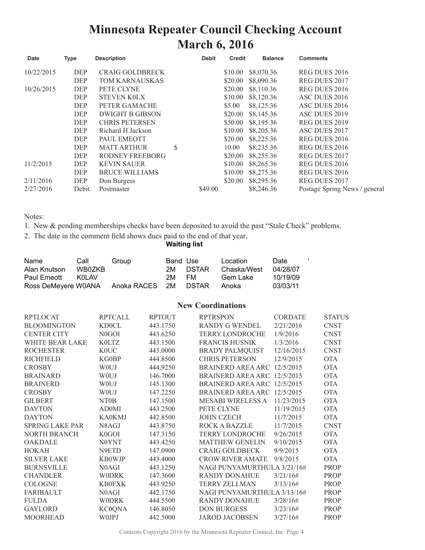# **Minnesota Repeater Council Checking Account March 6, 2016**

| Type       | <b>Description</b>     | <b>Debit</b> | <b>Credit</b> | <b>Balance</b> | <b>Comments</b>               |
|------------|------------------------|--------------|---------------|----------------|-------------------------------|
| <b>DEP</b> | <b>CRAIG GOLDBRECK</b> |              | \$10.00       | \$8,070.36     | <b>REG DUES 2016</b>          |
| <b>DEP</b> | <b>TOM KARNAUSKAS</b>  |              | \$20.00       | \$8,090.36     | <b>REG DUES 2017</b>          |
| <b>DEP</b> | PETE CLYNE             |              | \$20.00       | \$8,110.36     | <b>REG DUES 2016</b>          |
| <b>DEP</b> | <b>STEVEN KOLX</b>     |              | \$10.00       | \$8,120.36     | ASC DUES 2016                 |
| DEP        | PETER GAMACHE          |              | \$5.00        | \$8,125.36     | ASC DUES 2016                 |
| <b>DEP</b> | <b>DWIGHT B GIBSON</b> |              | \$20.00       | \$8,145.36     | ASC DUES 2019                 |
| <b>DEP</b> | <b>CHRIS PETERSEN</b>  |              | \$50.00       | \$8,195.36     | <b>REG DUES 2019</b>          |
| <b>DEP</b> | Richard H Jackson      |              | \$10.00       | \$8,205.36     | ASC DUES 2017                 |
| <b>DEP</b> | <b>PAUL EMEOTT</b>     |              | \$20.00       | \$8,225.36     | REG DUES 2016                 |
| <b>DEP</b> | <b>MATT ARTHUR</b>     | \$           | 10.00         | \$8,235.36     | <b>REG DUES 2016</b>          |
| <b>DEP</b> | RODNEY FREEBORG        |              | \$20.00       | \$8,255.36     | <b>REG DUES 2017</b>          |
| DEP        | <b>KEVIN SAUER</b>     |              | \$10.00       | \$8,265.36     | <b>REG DUES 2016</b>          |
| <b>DEP</b> | <b>BRUCE WILLIAMS</b>  |              | \$10.00       | \$8,275.36     | REG DUES 2016                 |
| DEP        | Don Burgess            |              | \$20.00       | \$8,295.36     | <b>REG DUES 2017</b>          |
| Debit      | Postmaster             | \$49.00      |               | \$8,246.36     | Postage Spring News / general |
|            |                        |              |               |                |                               |

Notes:

1. New & pending memberships checks have been deposited to avoid the past "Stale Check" problems.

2. The date in the comment field shows dues paid to the end of that year.

**Waiting list**

| Name<br>Alan Knutson               | Call<br>WB0ZKB | Group          | Band Use<br>2M | <b>DSTAR</b>        | Location<br>Chaska/West | Date.<br>04/28/07    |  |
|------------------------------------|----------------|----------------|----------------|---------------------|-------------------------|----------------------|--|
| Paul Emeott<br>Ross DeMeyere W0ANA | KOL AV         | Anoka RACES 2M | 2M             | FM.<br><b>DSTAR</b> | Gem Lake<br>Anoka       | 10/19/09<br>03/03/11 |  |

#### **New Coordinations**

| <b>RPTLOCAT</b>        | <b>RPTCALL</b>     | <b>RPTOUT</b> | <b>RPTRSPON</b>             | <b>CORDATE</b> | <b>STATUS</b> |
|------------------------|--------------------|---------------|-----------------------------|----------------|---------------|
| <b>BLOOMINGTON</b>     | KD0CL              | 443.1750      | <b>RANDY G WENDEL</b>       | 2/21/2016      | <b>CNST</b>   |
| <b>CENTER CITY</b>     | N <sub>0</sub> GOI | 443.6250      | <b>TERRY LONDROCHE</b>      | 1/9/2016       | <b>CNST</b>   |
| WHITE BEAR LAKE        | K0LTZ              | 443.1500      | <b>FRANCIS HUSNIK</b>       | 1/3/2016       | <b>CNST</b>   |
| <b>ROCHESTER</b>       | <b>K0UC</b>        | 443.0000      | <b>BRADY PALMQUIST</b>      | 12/16/2015     | <b>CNST</b>   |
| <b>RICHFIELD</b>       | KG0BP              | 444.8500      | <b>CHRIS PETERSON</b>       | 12/9/2015      | <b>OTA</b>    |
| <b>CROSBY</b>          | W0UJ               | 444.9250      | BRAINERD AREA ARC           | 12/5/2015      | <b>OTA</b>    |
| <b>BRAINARD</b>        | W0UJ               | 146.7000      | BRAINERD AREA ARC           | 12/5/2015      | <b>OTA</b>    |
| <b>BRAINERD</b>        | W0UJ               | 145.1300      | BRAINERD AREA ARC           | 12/5/2015      | <b>OTA</b>    |
| <b>CROSBY</b>          | <b>WOUJ</b>        | 147.2250      | <b>BRAINERD AREA ARC</b>    | 12/5/2015      | <b>OTA</b>    |
| <b>GILBERT</b>         | NT0B               | 147.1500      | <b>MESABI WIRELESS A</b>    | 11/23/2015     | <b>OTA</b>    |
| <b>DAYTON</b>          | <b>AD0MI</b>       | 443.2500      | PETE CLYNE                  | 11/19/2015     | <b>OTA</b>    |
| <b>DAYTON</b>          | KA0KMJ             | 442.8500      | <b>JOHN CZECH</b>           | 11/7/2015      | <b>OTA</b>    |
| <b>SPRING LAKE PAR</b> | N8AGJ              | 443.8750      | <b>ROCK A BAZZLE</b>        | 11/7/2015      | <b>CNST</b>   |
| NORTH BRANCH           | K <sub>0</sub> GOI | 147.3150      | <b>TERRY LONDROCHE</b>      | 9/26/2015      | <b>OTA</b>    |
| <b>OAKDALE</b>         | N0YNT              | 443.4250      | <b>MATTHEW GENELIN</b>      | 9/10/2015      | <b>OTA</b>    |
| <b>HOKAH</b>           | N9ETD              | 147.0900      | <b>CRAIG GOLDBECK</b>       | 9/9/2015       | <b>OTA</b>    |
| <b>SILVER LAKE</b>     | KB0WJP             | 443,4000      | <b>CROW RIVER AMATE</b>     | 9/8/2015       | <b>OTA</b>    |
| <b>BURNSVILLE</b>      | N <sub>0</sub> AGI | 443.1250      | NAGI PUNYAMURTHULA 3/21/16# |                | <b>PROP</b>   |
| <b>CHANDLER</b>        | <b>WODRK</b>       | 147.3600      | RANDY DONAHUE               | 3/21/16#       | <b>PROP</b>   |
| <b>COLOGNE</b>         | <b>KB0FXK</b>      | 443.9250      | <b>TERRY ZELLMAN</b>        | 3/13/16#       | <b>PROP</b>   |
| <b>FARIBAULT</b>       | N0AGI              | 442.1750      | NAGI PUNYAMURTHULA 3/13/16# |                | <b>PROP</b>   |
| <b>FULDA</b>           | <b>WODRK</b>       | 444.5500      | <b>RANDY DONAHUE</b>        | 3/28/16#       | <b>PROP</b>   |
| <b>GAYLORD</b>         | <b>KC0QNA</b>      | 146.8050      | <b>DON BURGESS</b>          | 3/23/16#       | <b>PROP</b>   |
| <b>MOORHEAD</b>        | W0JPJ              | 442.5000      | <b>JAROD JACOBSEN</b>       | 3/27/16#       | <b>PROP</b>   |
|                        |                    |               |                             |                |               |

Contents Copyright 2016 by the Minnesota Repeater Council, Inc Page 4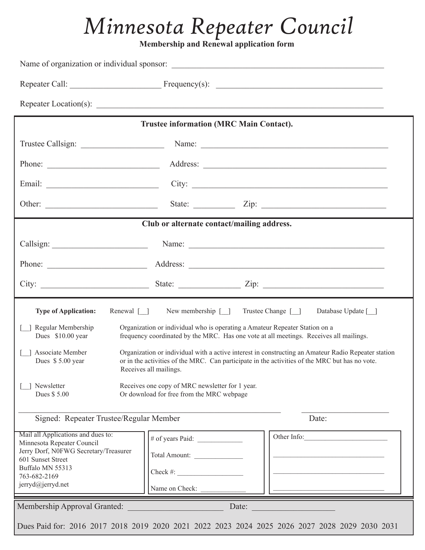# *Minnesota Repeater Council*

**Membership and Renewal application form** 

|                                                                                                                                                                                                                                          | <b>Trustee information (MRC Main Contact).</b>                                                                                   |                                                                                                                                                                                                       |
|------------------------------------------------------------------------------------------------------------------------------------------------------------------------------------------------------------------------------------------|----------------------------------------------------------------------------------------------------------------------------------|-------------------------------------------------------------------------------------------------------------------------------------------------------------------------------------------------------|
|                                                                                                                                                                                                                                          |                                                                                                                                  |                                                                                                                                                                                                       |
|                                                                                                                                                                                                                                          |                                                                                                                                  |                                                                                                                                                                                                       |
|                                                                                                                                                                                                                                          |                                                                                                                                  |                                                                                                                                                                                                       |
|                                                                                                                                                                                                                                          |                                                                                                                                  | State: $\angle$ Zip: $\angle$                                                                                                                                                                         |
|                                                                                                                                                                                                                                          | Club or alternate contact/mailing address.                                                                                       |                                                                                                                                                                                                       |
| Callsign: Name: Name: Name: Name: Name: Name: Name: Name: Name: Name: Name: Name: Name: Name: Name: Name: Name: Name: Name: Name: Name: Name: Name: Name: Name: Name: Name: Name: Name: Name: Name: Name: Name: Name: Name: Na           |                                                                                                                                  |                                                                                                                                                                                                       |
| Phone: <u>Address:</u> Address: <u>Address:</u> Address: Address: Address: Address: Address: Address: Address: Address: Address: Address: Address: Address: Address: Address: Address: Address: Address: Address: Address: Address: Addr |                                                                                                                                  |                                                                                                                                                                                                       |
|                                                                                                                                                                                                                                          |                                                                                                                                  |                                                                                                                                                                                                       |
| <b>Type of Application:</b><br>Regular Membership<br>Dues \$10.00 year                                                                                                                                                                   | Renewal [ ] New membership [ ] Trustee Change [ ]<br>Organization or individual who is operating a Amateur Repeater Station on a | Database Update [ ]<br>frequency coordinated by the MRC. Has one vote at all meetings. Receives all mailings.                                                                                         |
| Associate Member<br>Dues \$5.00 year                                                                                                                                                                                                     | Receives all mailings.                                                                                                           | Organization or individual with a active interest in constructing an Amateur Radio Repeater station<br>or in the activities of the MRC. Can participate in the activities of the MRC but has no vote. |
| Newsletter<br>Dues \$5.00                                                                                                                                                                                                                | Receives one copy of MRC newsletter for 1 year.<br>Or download for free from the MRC webpage                                     |                                                                                                                                                                                                       |
| Signed: Repeater Trustee/Regular Member                                                                                                                                                                                                  |                                                                                                                                  | Date:                                                                                                                                                                                                 |
| Mail all Applications and dues to:<br>Minnesota Repeater Council<br>Jerry Dorf, N0FWG Secretary/Treasurer<br>601 Sunset Street<br>Buffalo MN 55313<br>763-682-2169<br>jerryd@jerryd.net                                                  | Total Amount:<br>$Check \#:\_$<br>Name on Check:                                                                                 | Other Info:                                                                                                                                                                                           |
|                                                                                                                                                                                                                                          |                                                                                                                                  |                                                                                                                                                                                                       |